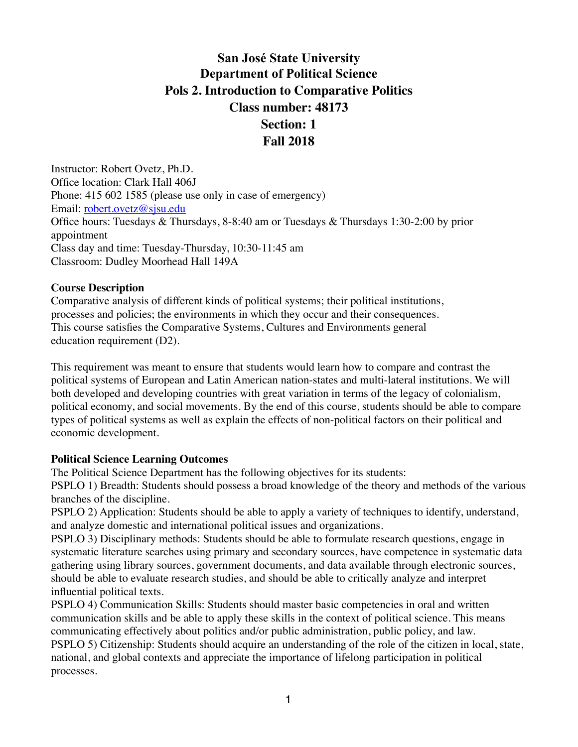# **San José State University Department of Political Science Pols 2. Introduction to Comparative Politics Class number: 48173 Section: 1 Fall 2018**

Instructor: Robert Ovetz, Ph.D. Office location: Clark Hall 406J Phone: 415 602 1585 (please use only in case of emergency) Email: [robert.ovetz@sjsu.edu](mailto:robert.ovetz@sjsu.edu) Office hours: Tuesdays & Thursdays, 8-8:40 am or Tuesdays & Thursdays 1:30-2:00 by prior appointment Class day and time: Tuesday-Thursday, 10:30-11:45 am Classroom: Dudley Moorhead Hall 149A

#### **Course Description**

Comparative analysis of different kinds of political systems; their political institutions, processes and policies; the environments in which they occur and their consequences. This course satisfies the Comparative Systems, Cultures and Environments general education requirement (D2).

This requirement was meant to ensure that students would learn how to compare and contrast the political systems of European and Latin American nation-states and multi-lateral institutions. We will both developed and developing countries with great variation in terms of the legacy of colonialism, political economy, and social movements. By the end of this course, students should be able to compare types of political systems as well as explain the effects of non-political factors on their political and economic development.

#### **Political Science Learning Outcomes**

The Political Science Department has the following objectives for its students:

PSPLO 1) Breadth: Students should possess a broad knowledge of the theory and methods of the various branches of the discipline.

PSPLO 2) Application: Students should be able to apply a variety of techniques to identify, understand, and analyze domestic and international political issues and organizations.

PSPLO 3) Disciplinary methods: Students should be able to formulate research questions, engage in systematic literature searches using primary and secondary sources, have competence in systematic data gathering using library sources, government documents, and data available through electronic sources, should be able to evaluate research studies, and should be able to critically analyze and interpret influential political texts.

PSPLO 4) Communication Skills: Students should master basic competencies in oral and written communication skills and be able to apply these skills in the context of political science. This means communicating effectively about politics and/or public administration, public policy, and law. PSPLO 5) Citizenship: Students should acquire an understanding of the role of the citizen in local, state, national, and global contexts and appreciate the importance of lifelong participation in political processes.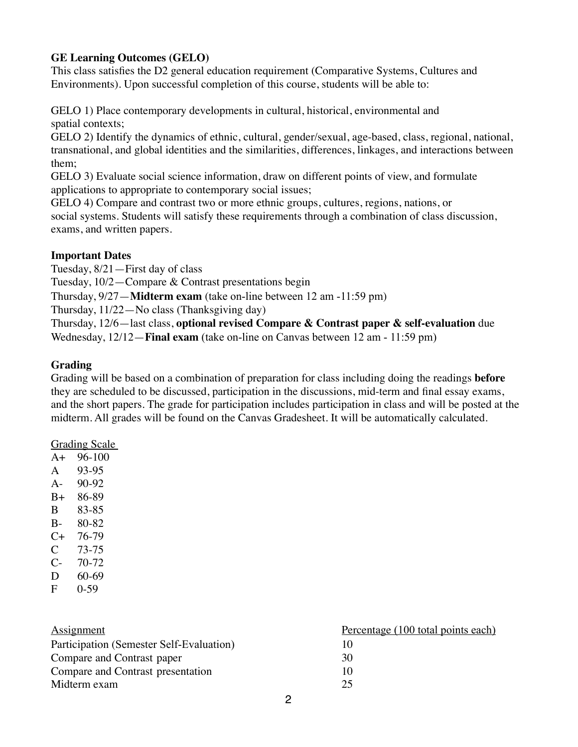### **GE Learning Outcomes (GELO)**

This class satisfies the D2 general education requirement (Comparative Systems, Cultures and Environments). Upon successful completion of this course, students will be able to:

GELO 1) Place contemporary developments in cultural, historical, environmental and spatial contexts;

GELO 2) Identify the dynamics of ethnic, cultural, gender/sexual, age-based, class, regional, national, transnational, and global identities and the similarities, differences, linkages, and interactions between them;

GELO 3) Evaluate social science information, draw on different points of view, and formulate applications to appropriate to contemporary social issues;

GELO 4) Compare and contrast two or more ethnic groups, cultures, regions, nations, or social systems. Students will satisfy these requirements through a combination of class discussion, exams, and written papers.

### **Important Dates**

Tuesday, 8/21—First day of class

Tuesday, 10/2—Compare & Contrast presentations begin

Thursday, 9/27—**Midterm exam** (take on-line between 12 am -11:59 pm)

Thursday, 11/22—No class (Thanksgiving day)

Thursday, 12/6—last class, **optional revised Compare & Contrast paper & self-evaluation** due

Wednesday, 12/12—**Final exam** (take on-line on Canvas between 12 am - 11:59 pm)

### **Grading**

Grading will be based on a combination of preparation for class including doing the readings **before** they are scheduled to be discussed, participation in the discussions, mid-term and final essay exams, and the short papers. The grade for participation includes participation in class and will be posted at the midterm. All grades will be found on the Canvas Gradesheet. It will be automatically calculated.

#### Grading Scale

- A+ 96-100
- A 93-95
- A- 90-92
- B+ 86-89
- B 83-85
- B- 80-82
- C+ 76-79
- C 73-75
- C- 70-72
- D 60-69 F 0-59
- 

| Assignment                               | Percentage (100 total points each) |
|------------------------------------------|------------------------------------|
| Participation (Semester Self-Evaluation) | Ю                                  |
| Compare and Contrast paper               | 30                                 |
| Compare and Contrast presentation        | 10                                 |
| Midterm exam                             | 25                                 |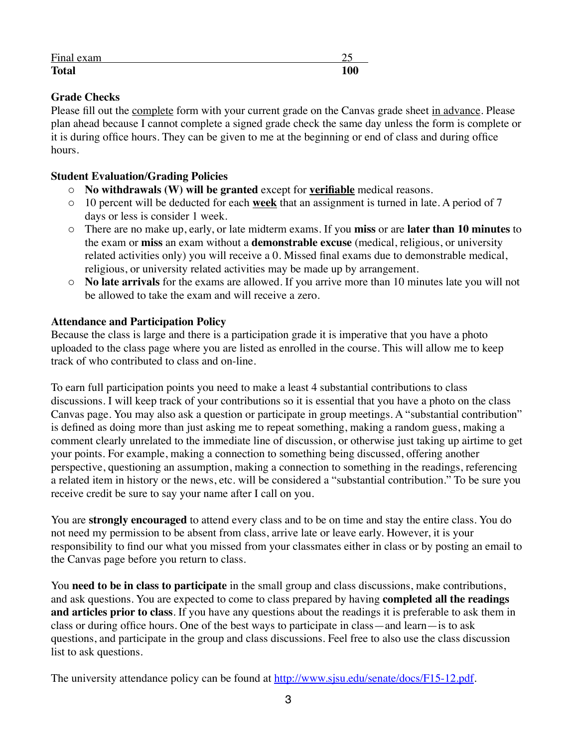| Final exam   | –∼         |
|--------------|------------|
| <b>Total</b> | 100<br>ιvν |

# **Grade Checks**

Please fill out the complete form with your current grade on the Canvas grade sheet in advance. Please plan ahead because I cannot complete a signed grade check the same day unless the form is complete or it is during office hours. They can be given to me at the beginning or end of class and during office hours.

## **Student Evaluation/Grading Policies**

- o **No withdrawals (W) will be granted** except for **verifiable** medical reasons.
- o 10 percent will be deducted for each **week** that an assignment is turned in late. A period of 7 days or less is consider 1 week.
- o There are no make up, early, or late midterm exams. If you **miss** or are **later than 10 minutes** to the exam or **miss** an exam without a **demonstrable excuse** (medical, religious, or university related activities only) you will receive a 0. Missed final exams due to demonstrable medical, religious, or university related activities may be made up by arrangement.
- o **No late arrivals** for the exams are allowed. If you arrive more than 10 minutes late you will not be allowed to take the exam and will receive a zero.

## **Attendance and Participation Policy**

Because the class is large and there is a participation grade it is imperative that you have a photo uploaded to the class page where you are listed as enrolled in the course. This will allow me to keep track of who contributed to class and on-line.

To earn full participation points you need to make a least 4 substantial contributions to class discussions. I will keep track of your contributions so it is essential that you have a photo on the class Canvas page. You may also ask a question or participate in group meetings. A "substantial contribution" is defined as doing more than just asking me to repeat something, making a random guess, making a comment clearly unrelated to the immediate line of discussion, or otherwise just taking up airtime to get your points. For example, making a connection to something being discussed, offering another perspective, questioning an assumption, making a connection to something in the readings, referencing a related item in history or the news, etc. will be considered a "substantial contribution." To be sure you receive credit be sure to say your name after I call on you.

You are **strongly encouraged** to attend every class and to be on time and stay the entire class. You do not need my permission to be absent from class, arrive late or leave early. However, it is your responsibility to find our what you missed from your classmates either in class or by posting an email to the Canvas page before you return to class.

You **need to be in class to participate** in the small group and class discussions, make contributions, and ask questions. You are expected to come to class prepared by having **completed all the readings and articles prior to class**. If you have any questions about the readings it is preferable to ask them in class or during office hours. One of the best ways to participate in class—and learn—is to ask questions, and participate in the group and class discussions. Feel free to also use the class discussion list to ask questions.

The university attendance policy can be found at <http://www.sjsu.edu/senate/docs/F15-12.pdf>.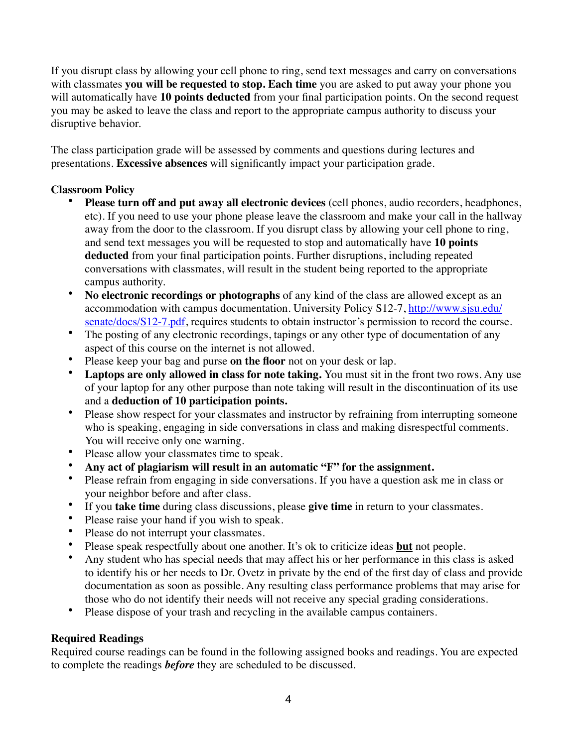If you disrupt class by allowing your cell phone to ring, send text messages and carry on conversations with classmates **you will be requested to stop. Each time** you are asked to put away your phone you will automatically have **10 points deducted** from your final participation points. On the second request you may be asked to leave the class and report to the appropriate campus authority to discuss your disruptive behavior.

The class participation grade will be assessed by comments and questions during lectures and presentations. **Excessive absences** will significantly impact your participation grade.

# **Classroom Policy**

- **Please turn off and put away all electronic devices** (cell phones, audio recorders, headphones, etc). If you need to use your phone please leave the classroom and make your call in the hallway away from the door to the classroom. If you disrupt class by allowing your cell phone to ring, and send text messages you will be requested to stop and automatically have **10 points deducted** from your final participation points. Further disruptions, including repeated conversations with classmates, will result in the student being reported to the appropriate campus authority.
- **No electronic recordings or photographs** of any kind of the class are allowed except as an [accommodation with campus documentation. University Policy S12-7, http://www.sjsu.edu/](http://www.sjsu.edu/senate/docs/S12-7.pdf) senate/docs/S12-7.pdf, requires students to obtain instructor's permission to record the course.
- The posting of any electronic recordings, tapings or any other type of documentation of any aspect of this course on the internet is not allowed.
- Please keep your bag and purse **on the floor** not on your desk or lap.
- Laptops are only allowed in class for note taking. You must sit in the front two rows. Any use of your laptop for any other purpose than note taking will result in the discontinuation of its use and a **deduction of 10 participation points.**
- Please show respect for your classmates and instructor by refraining from interrupting someone who is speaking, engaging in side conversations in class and making disrespectful comments. You will receive only one warning.
- Please allow your classmates time to speak.
- **Any act of plagiarism will result in an automatic "F" for the assignment.**
- Please refrain from engaging in side conversations. If you have a question ask me in class or your neighbor before and after class.
- If you **take time** during class discussions, please **give time** in return to your classmates.
- Please raise your hand if you wish to speak.
- Please do not interrupt your classmates.<br>• Please speak respectfully about one and
- Please speak respectfully about one another. It's ok to criticize ideas **but** not people.
- Any student who has special needs that may affect his or her performance in this class is asked to identify his or her needs to Dr. Ovetz in private by the end of the first day of class and provide documentation as soon as possible. Any resulting class performance problems that may arise for those who do not identify their needs will not receive any special grading considerations.
- Please dispose of your trash and recycling in the available campus containers.

# **Required Readings**

Required course readings can be found in the following assigned books and readings. You are expected to complete the readings *before* they are scheduled to be discussed.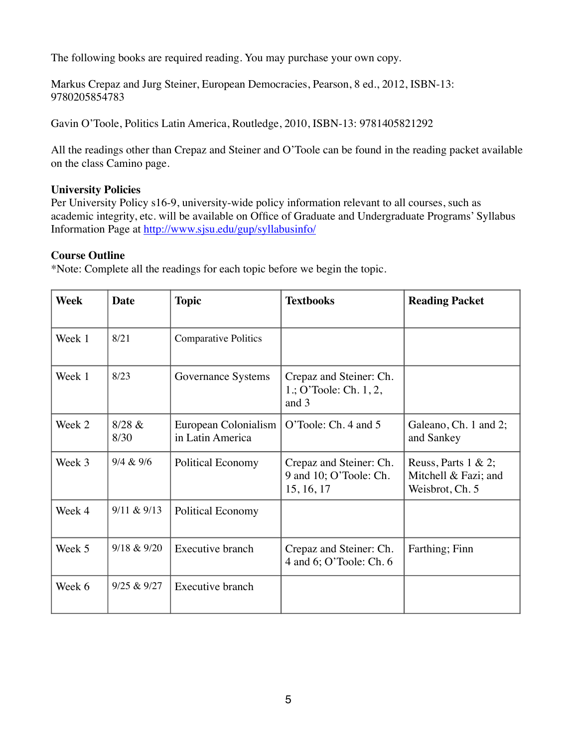The following books are required reading. You may purchase your own copy.

Markus Crepaz and Jurg Steiner, European Democracies, Pearson, 8 ed., 2012, ISBN-13: 9780205854783

Gavin O'Toole, Politics Latin America, Routledge, 2010, ISBN-13: 9781405821292

All the readings other than Crepaz and Steiner and O'Toole can be found in the reading packet available on the class Camino page.

#### **University Policies**

Per University Policy s16-9, university-wide policy information relevant to all courses, such as academic integrity, etc. will be available on Office of Graduate and Undergraduate Programs' Syllabus Information Page at<http://www.sjsu.edu/gup/syllabusinfo/>

#### **Course Outline**

\*Note: Complete all the readings for each topic before we begin the topic.

| <b>Week</b> | <b>Date</b>    | <b>Topic</b>                             | <b>Textbooks</b>                                                | <b>Reading Packet</b>                                              |
|-------------|----------------|------------------------------------------|-----------------------------------------------------------------|--------------------------------------------------------------------|
| Week 1      | 8/21           | <b>Comparative Politics</b>              |                                                                 |                                                                    |
| Week 1      | 8/23           | Governance Systems                       | Crepaz and Steiner: Ch.<br>1.; O'Toole: Ch. $1, 2$ ,<br>and 3   |                                                                    |
| Week 2      | 8/28 &<br>8/30 | European Colonialism<br>in Latin America | O'Toole: Ch. 4 and 5                                            | Galeano, Ch. 1 and 2;<br>and Sankey                                |
| Week 3      | 9/4 & 9/6      | <b>Political Economy</b>                 | Crepaz and Steiner: Ch.<br>9 and 10; O'Toole: Ch.<br>15, 16, 17 | Reuss, Parts $1 \& 2$ ;<br>Mitchell & Fazi; and<br>Weisbrot, Ch. 5 |
| Week 4      | 9/11 & 9/13    | <b>Political Economy</b>                 |                                                                 |                                                                    |
| Week 5      | 9/18 & 9/20    | Executive branch                         | Crepaz and Steiner: Ch.<br>4 and 6; O'Toole: Ch. 6              | Farthing; Finn                                                     |
| Week 6      | 9/25 & 9/27    | Executive branch                         |                                                                 |                                                                    |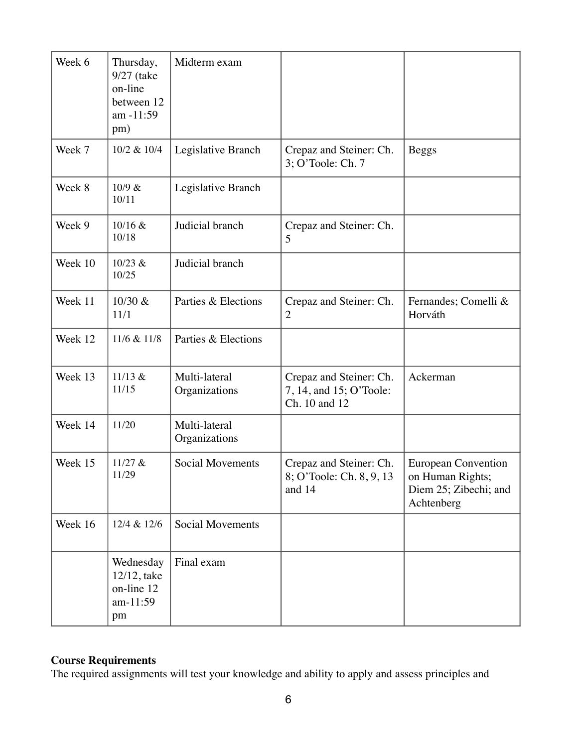| Week 6  | Thursday,<br>9/27 (take<br>on-line<br>between 12<br>am -11:59<br>pm) | Midterm exam                   |                                                                     |                                                                                       |
|---------|----------------------------------------------------------------------|--------------------------------|---------------------------------------------------------------------|---------------------------------------------------------------------------------------|
| Week 7  | 10/2 & 10/4                                                          | Legislative Branch             | Crepaz and Steiner: Ch.<br>3; O'Toole: Ch. 7                        | <b>Beggs</b>                                                                          |
| Week 8  | 10/9 &<br>10/11                                                      | Legislative Branch             |                                                                     |                                                                                       |
| Week 9  | 10/16 &<br>10/18                                                     | Judicial branch                | Crepaz and Steiner: Ch.<br>5                                        |                                                                                       |
| Week 10 | 10/23 &<br>10/25                                                     | Judicial branch                |                                                                     |                                                                                       |
| Week 11 | 10/30 &<br>11/1                                                      | Parties & Elections            | Crepaz and Steiner: Ch.<br>$\overline{2}$                           | Fernandes; Comelli &<br>Horváth                                                       |
| Week 12 | 11/6 & 11/8                                                          | Parties & Elections            |                                                                     |                                                                                       |
| Week 13 | 11/13 &<br>11/15                                                     | Multi-lateral<br>Organizations | Crepaz and Steiner: Ch.<br>7, 14, and 15; O'Toole:<br>Ch. 10 and 12 | Ackerman                                                                              |
| Week 14 | 11/20                                                                | Multi-lateral<br>Organizations |                                                                     |                                                                                       |
| Week 15 | 11/27 &<br>11/29                                                     | <b>Social Movements</b>        | Crepaz and Steiner: Ch.<br>8; O'Toole: Ch. 8, 9, 13<br>and 14       | <b>European Convention</b><br>on Human Rights;<br>Diem 25; Zibechi; and<br>Achtenberg |
| Week 16 | 12/4 & 12/6                                                          | <b>Social Movements</b>        |                                                                     |                                                                                       |
|         | Wednesday<br>12/12, take<br>on-line 12<br>am-11:59<br>pm             | Final exam                     |                                                                     |                                                                                       |

# **Course Requirements**

The required assignments will test your knowledge and ability to apply and assess principles and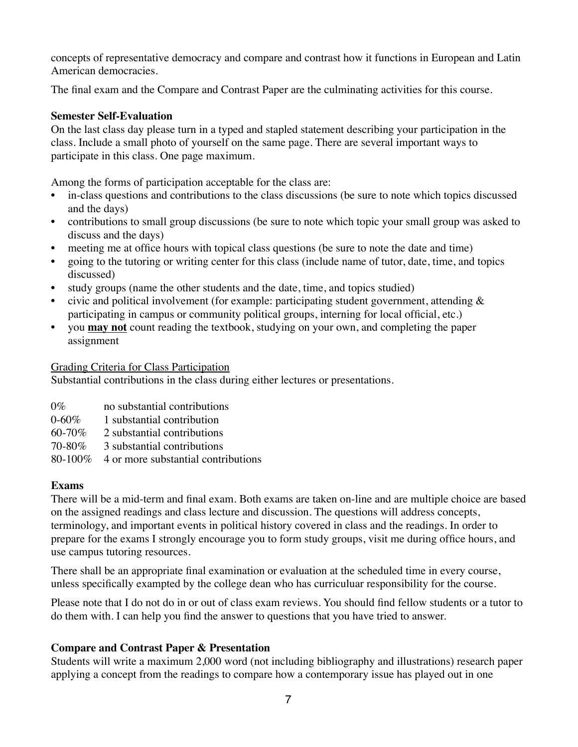concepts of representative democracy and compare and contrast how it functions in European and Latin American democracies.

The final exam and the Compare and Contrast Paper are the culminating activities for this course.

### **Semester Self-Evaluation**

On the last class day please turn in a typed and stapled statement describing your participation in the class. Include a small photo of yourself on the same page. There are several important ways to participate in this class. One page maximum.

Among the forms of participation acceptable for the class are:

- in-class questions and contributions to the class discussions (be sure to note which topics discussed and the days)
- contributions to small group discussions (be sure to note which topic your small group was asked to discuss and the days)
- efficiency meeting me at office hours with topical class questions (be sure to note the date and time)
- going to the tutoring or writing center for this class (include name of tutor, date, time, and topics discussed)
- study groups (name the other students and the date, time, and topics studied)
- civic and political involvement (for example: participating student government, attending  $\&$ participating in campus or community political groups, interning for local official, etc.)
- you **may not** count reading the textbook, studying on your own, and completing the paper assignment

#### Grading Criteria for Class Participation

Substantial contributions in the class during either lectures or presentations.

- $0\%$  no substantial contributions
- 0-60% 1 substantial contribution
- 60-70% 2 substantial contributions
- 70-80% 3 substantial contributions
- 80-100% 4 or more substantial contributions

#### **Exams**

There will be a mid-term and final exam. Both exams are taken on-line and are multiple choice are based on the assigned readings and class lecture and discussion. The questions will address concepts, terminology, and important events in political history covered in class and the readings. In order to prepare for the exams I strongly encourage you to form study groups, visit me during office hours, and use campus tutoring resources.

There shall be an appropriate final examination or evaluation at the scheduled time in every course, unless specifically exampted by the college dean who has curriculuar responsibility for the course.

Please note that I do not do in or out of class exam reviews. You should find fellow students or a tutor to do them with. I can help you find the answer to questions that you have tried to answer.

### **Compare and Contrast Paper & Presentation**

Students will write a maximum 2,000 word (not including bibliography and illustrations) research paper applying a concept from the readings to compare how a contemporary issue has played out in one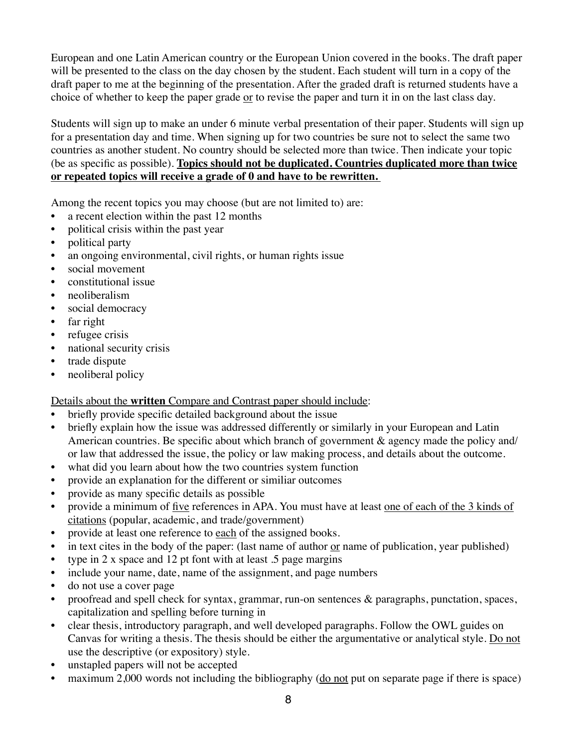European and one Latin American country or the European Union covered in the books. The draft paper will be presented to the class on the day chosen by the student. Each student will turn in a copy of the draft paper to me at the beginning of the presentation. After the graded draft is returned students have a choice of whether to keep the paper grade or to revise the paper and turn it in on the last class day.

Students will sign up to make an under 6 minute verbal presentation of their paper. Students will sign up for a presentation day and time. When signing up for two countries be sure not to select the same two countries as another student. No country should be selected more than twice. Then indicate your topic (be as specific as possible). **Topics should not be duplicated. Countries duplicated more than twice or repeated topics will receive a grade of 0 and have to be rewritten.** 

Among the recent topics you may choose (but are not limited to) are:

- a recent election within the past 12 months
- political crisis within the past year
- political party
- an ongoing environmental, civil rights, or human rights issue
- social movement
- constitutional issue
- neoliberalism
- social democracy
- far right
- refugee crisis
- national security crisis
- trade dispute
- neoliberal policy

Details about the **written** Compare and Contrast paper should include:

- briefly provide specific detailed background about the issue
- briefly explain how the issue was addressed differently or similarly in your European and Latin American countries. Be specific about which branch of government & agency made the policy and/ or law that addressed the issue, the policy or law making process, and details about the outcome.
- what did you learn about how the two countries system function
- provide an explanation for the different or similiar outcomes
- provide as many specific details as possible
- provide a minimum of five references in APA. You must have at least one of each of the 3 kinds of citations (popular, academic, and trade/government)
- provide at least one reference to each of the assigned books.
- in text cites in the body of the paper: (last name of author or name of publication, year published)
- type in 2 x space and 12 pt font with at least .5 page margins
- include your name, date, name of the assignment, and page numbers
- do not use a cover page
- proofread and spell check for syntax, grammar, run-on sentences & paragraphs, punctation, spaces, capitalization and spelling before turning in
- clear thesis, introductory paragraph, and well developed paragraphs. Follow the OWL guides on Canvas for writing a thesis. The thesis should be either the argumentative or analytical style. Do not use the descriptive (or expository) style.
- unstapled papers will not be accepted
- maximum 2,000 words not including the bibliography (do not put on separate page if there is space)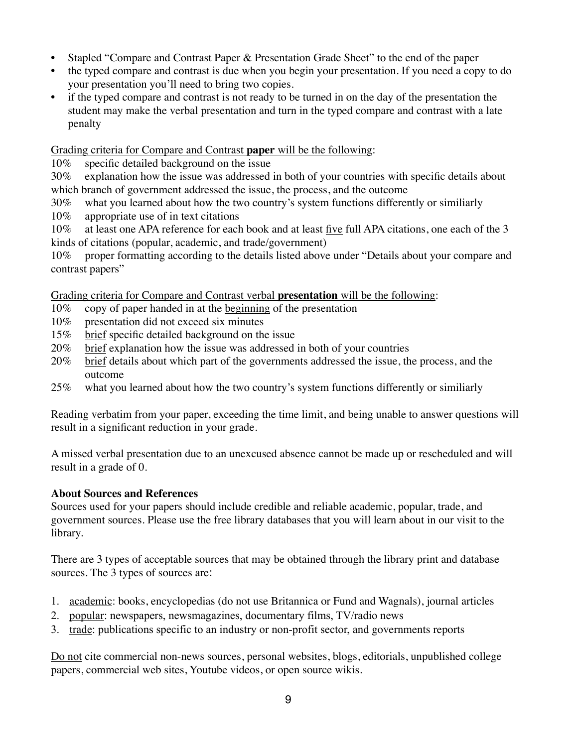- Stapled "Compare and Contrast Paper & Presentation Grade Sheet" to the end of the paper
- the typed compare and contrast is due when you begin your presentation. If you need a copy to do your presentation you'll need to bring two copies.
- if the typed compare and contrast is not ready to be turned in on the day of the presentation the student may make the verbal presentation and turn in the typed compare and contrast with a late penalty

Grading criteria for Compare and Contrast **paper** will be the following:

10% specific detailed background on the issue

30% explanation how the issue was addressed in both of your countries with specific details about which branch of government addressed the issue, the process, and the outcome

30% what you learned about how the two country's system functions differently or similiarly

10% appropriate use of in text citations

10% at least one APA reference for each book and at least five full APA citations, one each of the 3 kinds of citations (popular, academic, and trade/government)

10% proper formatting according to the details listed above under "Details about your compare and contrast papers"

Grading criteria for Compare and Contrast verbal **presentation** will be the following:

- 10% copy of paper handed in at the beginning of the presentation
- 10% presentation did not exceed six minutes
- 15% brief specific detailed background on the issue
- 20% brief explanation how the issue was addressed in both of your countries
- 20% brief details about which part of the governments addressed the issue, the process, and the outcome
- 25% what you learned about how the two country's system functions differently or similiarly

Reading verbatim from your paper, exceeding the time limit, and being unable to answer questions will result in a significant reduction in your grade.

A missed verbal presentation due to an unexcused absence cannot be made up or rescheduled and will result in a grade of 0.

# **About Sources and References**

Sources used for your papers should include credible and reliable academic, popular, trade, and government sources. Please use the free library databases that you will learn about in our visit to the library.

There are 3 types of acceptable sources that may be obtained through the library print and database sources. The 3 types of sources are:

- 1. academic: books, encyclopedias (do not use Britannica or Fund and Wagnals), journal articles
- 2. popular: newspapers, newsmagazines, documentary films, TV/radio news
- 3. trade: publications specific to an industry or non-profit sector, and governments reports

Do not cite commercial non-news sources, personal websites, blogs, editorials, unpublished college papers, commercial web sites, Youtube videos, or open source wikis.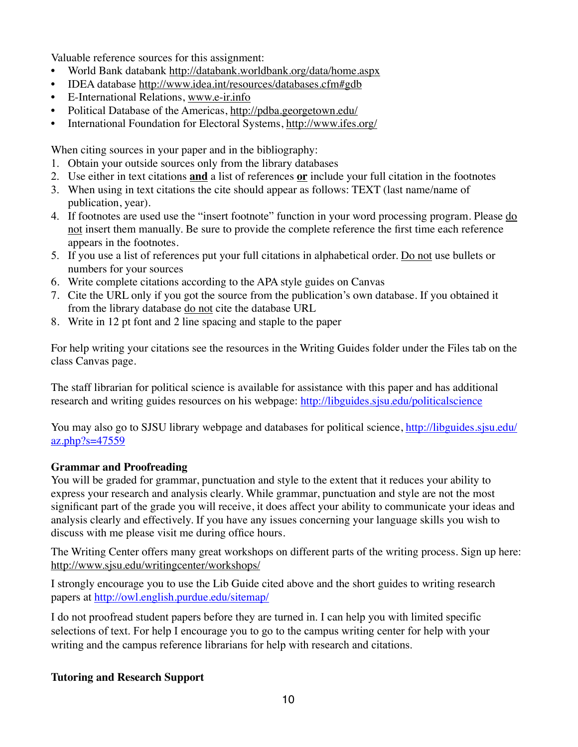Valuable reference sources for this assignment:

- World Bank databank<http://databank.worldbank.org/data/home.aspx>
- IDEA database<http://www.idea.int/resources/databases.cfm#gdb>
- E-International Relations, [www.e-ir.info](http://www.e-ir.info)
- Political Database of the Americas, <http://pdba.georgetown.edu/>
- International Foundation for Electoral Systems,<http://www.ifes.org/>

When citing sources in your paper and in the bibliography:

- 1. Obtain your outside sources only from the library databases
- 2. Use either in text citations **and** a list of references **or** include your full citation in the footnotes
- 3. When using in text citations the cite should appear as follows: TEXT (last name/name of publication, year).
- 4. If footnotes are used use the "insert footnote" function in your word processing program. Please do not insert them manually. Be sure to provide the complete reference the first time each reference appears in the footnotes.
- 5. If you use a list of references put your full citations in alphabetical order. Do not use bullets or numbers for your sources
- 6. Write complete citations according to the APA style guides on Canvas
- 7. Cite the URL only if you got the source from the publication's own database. If you obtained it from the library database do not cite the database URL
- 8. Write in 12 pt font and 2 line spacing and staple to the paper

For help writing your citations see the resources in the Writing Guides folder under the Files tab on the class Canvas page.

The staff librarian for political science is available for assistance with this paper and has additional research and writing guides resources on his webpage: <http://libguides.sjsu.edu/politicalscience>

[You may also go to SJSU library webpage and databases for political science, http://libguides.sjsu.edu/](http://libguides.sjsu.edu/az.php?s=47559) az.php?s=47559

# **Grammar and Proofreading**

You will be graded for grammar, punctuation and style to the extent that it reduces your ability to express your research and analysis clearly. While grammar, punctuation and style are not the most significant part of the grade you will receive, it does affect your ability to communicate your ideas and analysis clearly and effectively. If you have any issues concerning your language skills you wish to discuss with me please visit me during office hours.

The Writing Center offers many great workshops on different parts of the writing process. Sign up here: <http://www.sjsu.edu/writingcenter/workshops/>

I strongly encourage you to use the Lib Guide cited above and the short guides to writing research papers at <http://owl.english.purdue.edu/sitemap/>

I do not proofread student papers before they are turned in. I can help you with limited specific selections of text. For help I encourage you to go to the campus writing center for help with your writing and the campus reference librarians for help with research and citations.

### **Tutoring and Research Support**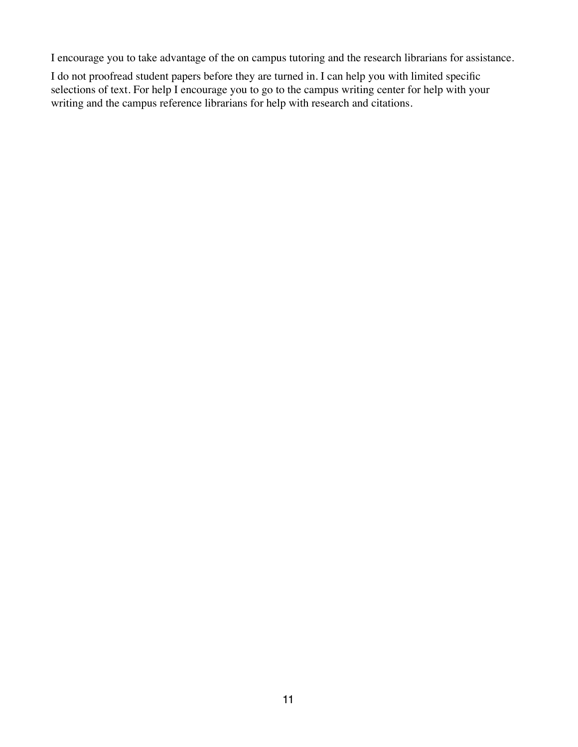I encourage you to take advantage of the on campus tutoring and the research librarians for assistance.

I do not proofread student papers before they are turned in. I can help you with limited specific selections of text. For help I encourage you to go to the campus writing center for help with your writing and the campus reference librarians for help with research and citations.